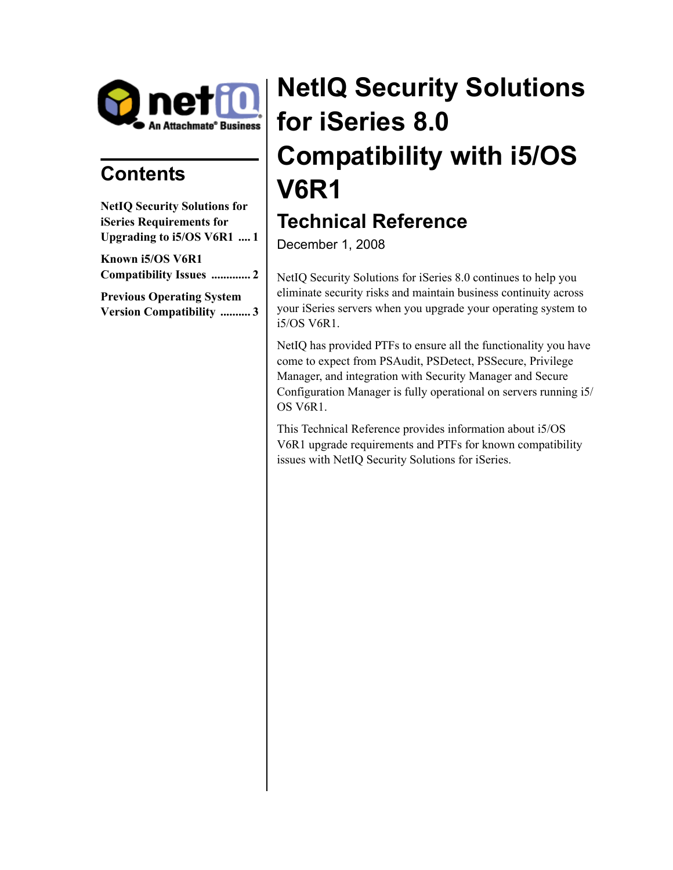

# **Contents**

| <b>NetIQ Security Solutions for</b> |
|-------------------------------------|
| iSeries Requirements for            |
| Upgrading to i5/OS V6R1  1          |
| Known i5/OS V6R1                    |
| <b>Compatibility Issues  2</b>      |
| <b>Previous Operating System</b>    |
| <b>Version Compatibility 3</b>      |

# **NetIQ Security Solutions for iSeries 8.0 Compatibility with i5/OS V6R1**

# **Technical Reference**

December 1, 2008

NetIQ Security Solutions for iSeries 8.0 continues to help you eliminate security risks and maintain business continuity across your iSeries servers when you upgrade your operating system to i5/OS V6R1.

NetIQ has provided PTFs to ensure all the functionality you have come to expect from PSAudit, PSDetect, PSSecure, Privilege Manager, and integration with Security Manager and Secure Configuration Manager is fully operational on servers running i5/ OS V6R1.

This Technical Reference provides information about i5/OS V6R1 upgrade requirements and PTFs for known compatibility issues with NetIQ Security Solutions for iSeries.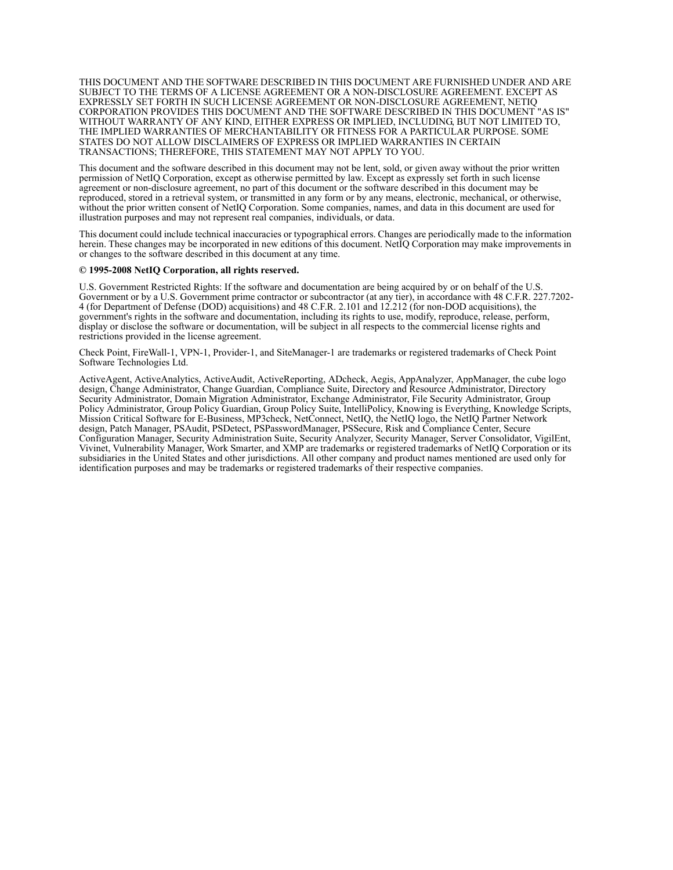THIS DOCUMENT AND THE SOFTWARE DESCRIBED IN THIS DOCUMENT ARE FURNISHED UNDER AND ARE SUBJECT TO THE TERMS OF A LICENSE AGREEMENT OR A NON-DISCLOSURE AGREEMENT. EXCEPT AS EXPRESSLY SET FORTH IN SUCH LICENSE AGREEMENT OR NON-DISCLOSURE AGREEMENT, NETIQ CORPORATION PROVIDES THIS DOCUMENT AND THE SOFTWARE DESCRIBED IN THIS DOCUMENT "AS IS" WITHOUT WARRANTY OF ANY KIND, EITHER EXPRESS OR IMPLIED, INCLUDING, BUT NOT LIMITED TO, THE IMPLIED WARRANTIES OF MERCHANTABILITY OR FITNESS FOR A PARTICULAR PURPOSE. SOME STATES DO NOT ALLOW DISCLAIMERS OF EXPRESS OR IMPLIED WARRANTIES IN CERTAIN TRANSACTIONS; THEREFORE, THIS STATEMENT MAY NOT APPLY TO YOU.

This document and the software described in this document may not be lent, sold, or given away without the prior written permission of NetIQ Corporation, except as otherwise permitted by law. Except as expressly set forth in such license agreement or non-disclosure agreement, no part of this document or the software described in this document may be reproduced, stored in a retrieval system, or transmitted in any form or by any means, electronic, mechanical, or otherwise, without the prior written consent of NetIQ Corporation. Some companies, names, and data in this document are used for illustration purposes and may not represent real companies, individuals, or data.

This document could include technical inaccuracies or typographical errors. Changes are periodically made to the information herein. These changes may be incorporated in new editions of this document. NetIQ Corporation may make improvements in or changes to the software described in this document at any time.

#### **© 1995-2008 NetIQ Corporation, all rights reserved.**

U.S. Government Restricted Rights: If the software and documentation are being acquired by or on behalf of the U.S. Government or by a U.S. Government prime contractor or subcontractor (at any tier), in accordance with 48 C.F.R. 227.7202- 4 (for Department of Defense (DOD) acquisitions) and 48 C.F.R. 2.101 and 12.212 (for non-DOD acquisitions), the government's rights in the software and documentation, including its rights to use, modify, reproduce, release, perform, display or disclose the software or documentation, will be subject in all respects to the commercial license rights and restrictions provided in the license agreement.

Check Point, FireWall-1, VPN-1, Provider-1, and SiteManager-1 are trademarks or registered trademarks of Check Point Software Technologies Ltd.

ActiveAgent, ActiveAnalytics, ActiveAudit, ActiveReporting, ADcheck, Aegis, AppAnalyzer, AppManager, the cube logo design, Change Administrator, Change Guardian, Compliance Suite, Directory and Resource Administrator, Directory Security Administrator, Domain Migration Administrator, Exchange Administrator, File Security Administrator, Group Policy Administrator, Group Policy Guardian, Group Policy Suite, IntelliPolicy, Knowing is Everything, Knowledge Scripts, Mission Critical Software for E-Business, MP3check, NetConnect, NetIQ, the NetIQ logo, the NetIQ Partner Network design, Patch Manager, PSAudit, PSDetect, PSPasswordManager, PSSecure, Risk and Compliance Center, Secure Configuration Manager, Security Administration Suite, Security Analyzer, Security Manager, Server Consolidator, VigilEnt, Vivinet, Vulnerability Manager, Work Smarter, and XMP are trademarks or registered trademarks of NetIQ Corporation or its subsidiaries in the United States and other jurisdictions. All other company and product names mentioned are used only for identification purposes and may be trademarks or registered trademarks of their respective companies.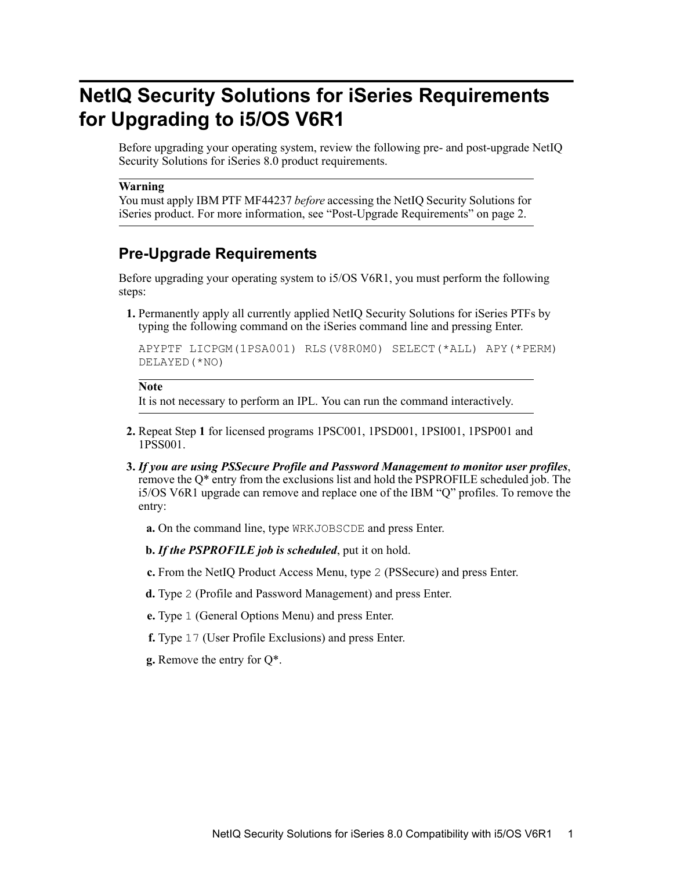# <span id="page-2-0"></span>**NetIQ Security Solutions for iSeries Requirements for Upgrading to i5/OS V6R1**

Before upgrading your operating system, review the following pre- and post-upgrade NetIQ Security Solutions for iSeries 8.0 product requirements.

#### **Warning**

You must apply IBM PTF MF44237 *before* accessing the NetIQ Security Solutions for iSeries product. For more information, see ["Post-Upgrade Requirements" on page 2.](#page-3-1)

### **Pre-Upgrade Requirements**

Before upgrading your operating system to i5/OS V6R1, you must perform the following steps:

<span id="page-2-1"></span>**1.** Permanently apply all currently applied NetIQ Security Solutions for iSeries PTFs by typing the following command on the iSeries command line and pressing Enter.

```
APYPTF LICPGM(1PSA001) RLS(V8R0M0) SELECT(*ALL) APY(*PERM) 
DELAYED(*NO)
```
#### **Note**

It is not necessary to perform an IPL. You can run the command interactively.

- **2.** Repeat [Step](#page-2-1) **1** for licensed programs 1PSC001, 1PSD001, 1PSI001, 1PSP001 and 1PSS001.
- **3.** *If you are using PSSecure Profile and Password Management to monitor user profiles*, remove the Q\* entry from the exclusions list and hold the PSPROFILE scheduled job. The i5/OS V6R1 upgrade can remove and replace one of the IBM "Q" profiles. To remove the entry:
	- **a.** On the command line, type WRKJOBSCDE and press Enter.
	- **b.** *If the PSPROFILE job is scheduled*, put it on hold.
	- **c.** From the NetIQ Product Access Menu, type 2 (PSSecure) and press Enter.
	- **d.** Type 2 (Profile and Password Management) and press Enter.
	- **e.** Type 1 (General Options Menu) and press Enter.
	- **f.** Type 17 (User Profile Exclusions) and press Enter.
	- **g.** Remove the entry for Q\*.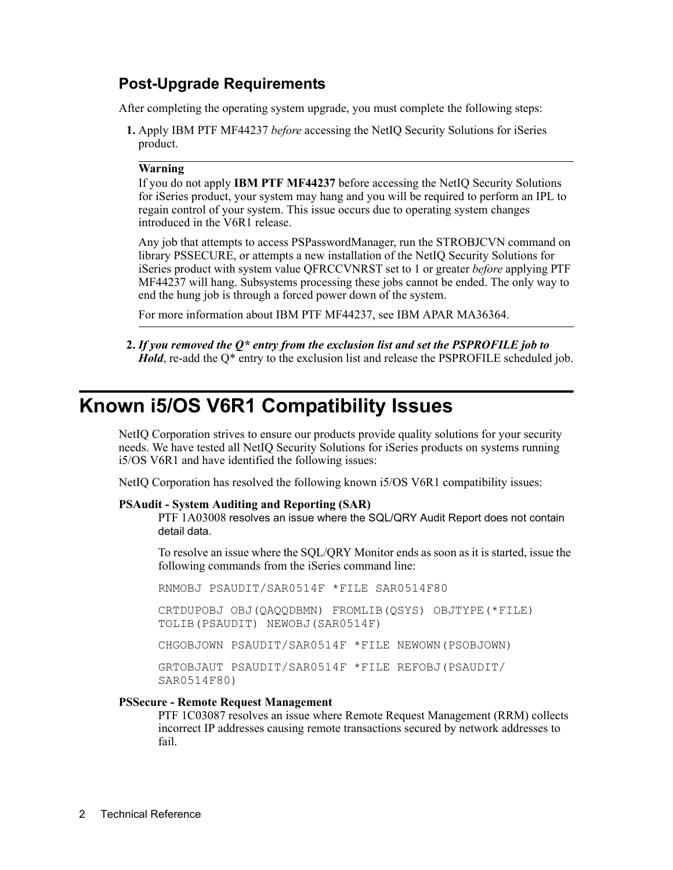### <span id="page-3-1"></span>**Post-Upgrade Requirements**

After completing the operating system upgrade, you must complete the following steps:

**1.** Apply IBM PTF MF44237 *before* accessing the NetIQ Security Solutions for iSeries product.

#### **Warning**

If you do not apply **IBM PTF MF44237** before accessing the NetIQ Security Solutions for iSeries product, your system may hang and you will be required to perform an IPL to regain control of your system. This issue occurs due to operating system changes introduced in the V6R1 release.

Any job that attempts to access PSPasswordManager, run the STROBJCVN command on library PSSECURE, or attempts a new installation of the NetIQ Security Solutions for iSeries product with system value QFRCCVNRST set to 1 or greater *before* applying PTF MF44237 will hang. Subsystems processing these jobs cannot be ended. The only way to end the hung job is through a forced power down of the system.

For more information about IBM PTF MF44237, see IBM APAR MA36364.

**2.** *If you removed the Q\* entry from the exclusion list and set the PSPROFILE job to Hold*, re-add the Q<sup>\*</sup> entry to the exclusion list and release the PSPROFILE scheduled job.

# <span id="page-3-0"></span>**Known i5/OS V6R1 Compatibility Issues**

NetIQ Corporation strives to ensure our products provide quality solutions for your security needs. We have tested all NetIQ Security Solutions for iSeries products on systems running i5/OS V6R1 and have identified the following issues:

NetIQ Corporation has resolved the following known i5/OS V6R1 compatibility issues:

#### **PSAudit - System Auditing and Reporting (SAR)**

PTF 1A03008 resolves an issue where the SQL/QRY Audit Report does not contain detail data.

To resolve an issue where the SQL/QRY Monitor ends as soon as it is started, issue the following commands from the iSeries command line:

RNMOBJ PSAUDIT/SAR0514F \*FILE SAR0514F80 CRTDUPOBJ OBJ(QAQQDBMN) FROMLIB(QSYS) OBJTYPE(\*FILE) TOLIB(PSAUDIT) NEWOBJ(SAR0514F)

CHGOBJOWN PSAUDIT/SAR0514F \*FILE NEWOWN(PSOBJOWN)

GRTOBJAUT PSAUDIT/SAR0514F \*FILE REFOBJ(PSAUDIT/ SAR0514F80)

#### **PSSecure - Remote Request Management**

PTF 1C03087 resolves an issue where Remote Request Management (RRM) collects incorrect IP addresses causing remote transactions secured by network addresses to fail.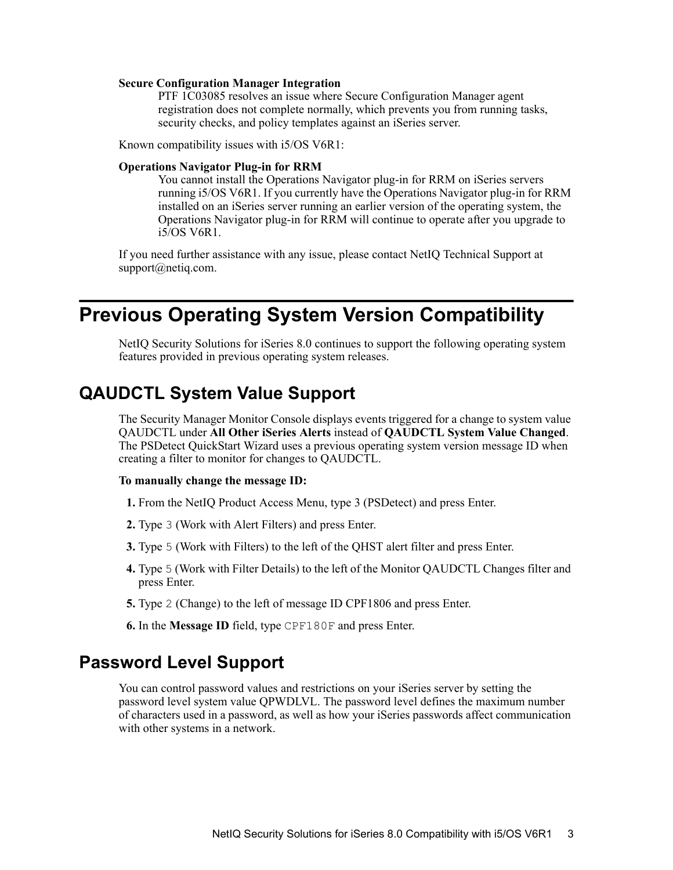#### **Secure Configuration Manager Integration**

PTF 1C03085 resolves an issue where Secure Configuration Manager agent registration does not complete normally, which prevents you from running tasks, security checks, and policy templates against an iSeries server.

Known compatibility issues with i5/OS V6R1:

#### **Operations Navigator Plug-in for RRM**

You cannot install the Operations Navigator plug-in for RRM on iSeries servers running i5/OS V6R1. If you currently have the Operations Navigator plug-in for RRM installed on an iSeries server running an earlier version of the operating system, the Operations Navigator plug-in for RRM will continue to operate after you upgrade to i5/OS V6R1.

If you need further assistance with any issue, please contact NetIQ Technical Support at support@netiq.com.

# <span id="page-4-0"></span>**Previous Operating System Version Compatibility**

NetIQ Security Solutions for iSeries 8.0 continues to support the following operating system features provided in previous operating system releases.

### **QAUDCTL System Value Support**

The Security Manager Monitor Console displays events triggered for a change to system value QAUDCTL under **All Other iSeries Alerts** instead of **QAUDCTL System Value Changed**. The PSDetect QuickStart Wizard uses a previous operating system version message ID when creating a filter to monitor for changes to QAUDCTL.

#### **To manually change the message ID:**

- **1.** From the NetIQ Product Access Menu, type 3 (PSDetect) and press Enter.
- **2.** Type 3 (Work with Alert Filters) and press Enter.
- **3.** Type 5 (Work with Filters) to the left of the QHST alert filter and press Enter.
- **4.** Type 5 (Work with Filter Details) to the left of the Monitor QAUDCTL Changes filter and press Enter.
- **5.** Type 2 (Change) to the left of message ID CPF1806 and press Enter.
- **6.** In the **Message ID** field, type CPF180F and press Enter.

### **Password Level Support**

You can control password values and restrictions on your iSeries server by setting the password level system value QPWDLVL. The password level defines the maximum number of characters used in a password, as well as how your iSeries passwords affect communication with other systems in a network.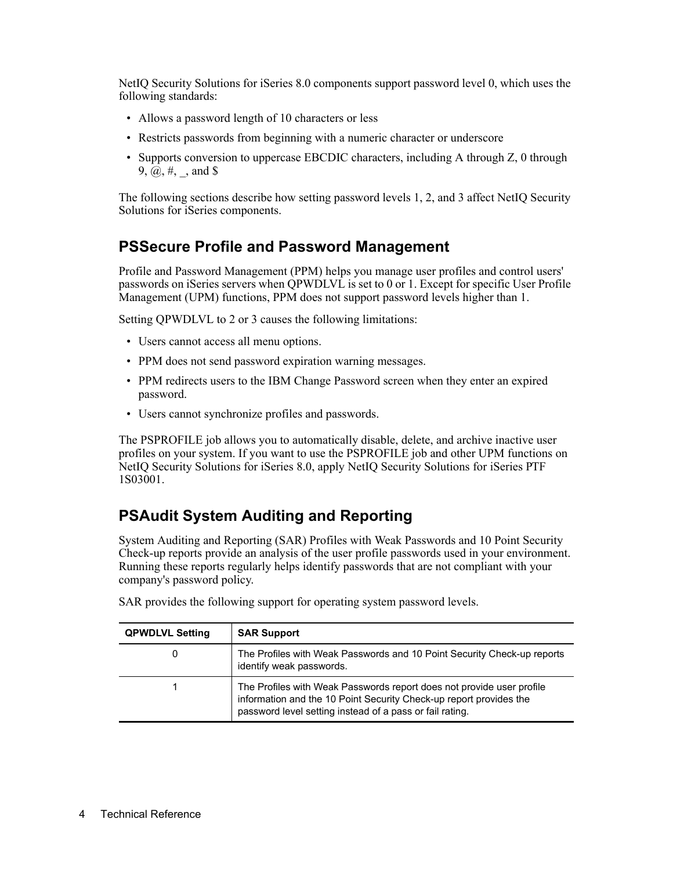NetIQ Security Solutions for iSeries 8.0 components support password level 0, which uses the following standards:

- Allows a password length of 10 characters or less
- Restricts passwords from beginning with a numeric character or underscore
- Supports conversion to uppercase EBCDIC characters, including A through Z, 0 through 9,  $\omega$ ,  $\#$ , and \$

The following sections describe how setting password levels 1, 2, and 3 affect NetIQ Security Solutions for iSeries components.

### **PSSecure Profile and Password Management**

Profile and Password Management (PPM) helps you manage user profiles and control users' passwords on iSeries servers when QPWDLVL is set to 0 or 1. Except for specific User Profile Management (UPM) functions, PPM does not support password levels higher than 1.

Setting QPWDLVL to 2 or 3 causes the following limitations:

- Users cannot access all menu options.
- PPM does not send password expiration warning messages.
- PPM redirects users to the IBM Change Password screen when they enter an expired password.
- Users cannot synchronize profiles and passwords.

The PSPROFILE job allows you to automatically disable, delete, and archive inactive user profiles on your system. If you want to use the PSPROFILE job and other UPM functions on NetIQ Security Solutions for iSeries 8.0, apply NetIQ Security Solutions for iSeries PTF 1S03001.

### **PSAudit System Auditing and Reporting**

System Auditing and Reporting (SAR) Profiles with Weak Passwords and 10 Point Security Check-up reports provide an analysis of the user profile passwords used in your environment. Running these reports regularly helps identify passwords that are not compliant with your company's password policy.

| <b>QPWDLVL Setting</b> | <b>SAR Support</b>                                                                                                                                                                                      |
|------------------------|---------------------------------------------------------------------------------------------------------------------------------------------------------------------------------------------------------|
|                        | The Profiles with Weak Passwords and 10 Point Security Check-up reports<br>identify weak passwords.                                                                                                     |
|                        | The Profiles with Weak Passwords report does not provide user profile<br>information and the 10 Point Security Check-up report provides the<br>password level setting instead of a pass or fail rating. |

SAR provides the following support for operating system password levels.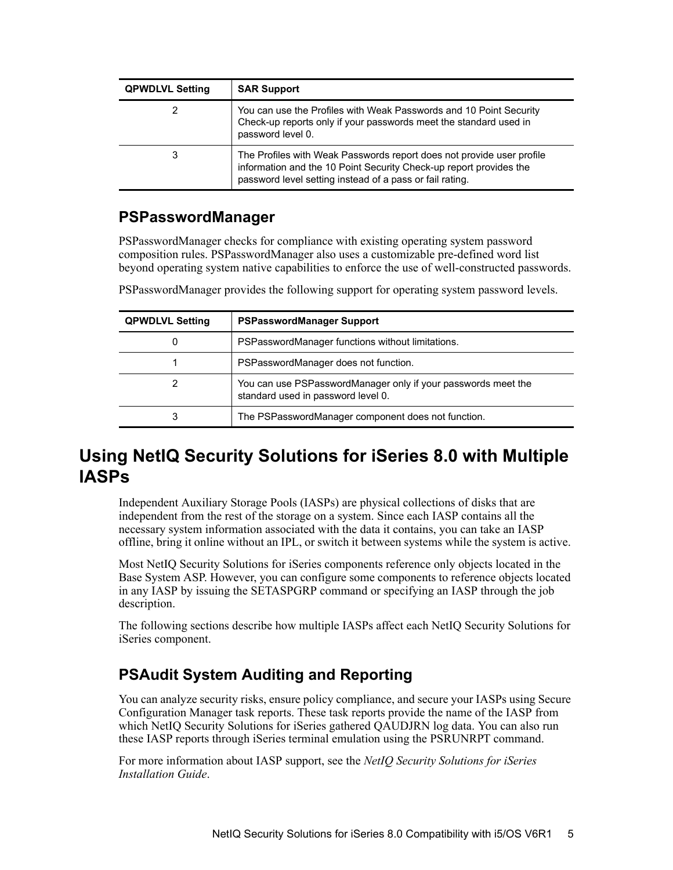| <b>QPWDLVL Setting</b> | <b>SAR Support</b>                                                                                                                                                                                      |
|------------------------|---------------------------------------------------------------------------------------------------------------------------------------------------------------------------------------------------------|
|                        | You can use the Profiles with Weak Passwords and 10 Point Security<br>Check-up reports only if your passwords meet the standard used in<br>password level 0.                                            |
| 3                      | The Profiles with Weak Passwords report does not provide user profile<br>information and the 10 Point Security Check-up report provides the<br>password level setting instead of a pass or fail rating. |

### **PSPasswordManager**

PSPasswordManager checks for compliance with existing operating system password composition rules. PSPasswordManager also uses a customizable pre-defined word list beyond operating system native capabilities to enforce the use of well-constructed passwords.

PSPasswordManager provides the following support for operating system password levels.

| <b>QPWDLVL Setting</b> | <b>PSPasswordManager Support</b>                                                                    |
|------------------------|-----------------------------------------------------------------------------------------------------|
| O                      | PSPasswordManager functions without limitations.                                                    |
|                        | PSPasswordManager does not function.                                                                |
| 2                      | You can use PSPasswordManager only if your passwords meet the<br>standard used in password level 0. |
| 3                      | The PSPasswordManager component does not function.                                                  |

## **Using NetIQ Security Solutions for iSeries 8.0 with Multiple IASPs**

Independent Auxiliary Storage Pools (IASPs) are physical collections of disks that are independent from the rest of the storage on a system. Since each IASP contains all the necessary system information associated with the data it contains, you can take an IASP offline, bring it online without an IPL, or switch it between systems while the system is active.

Most NetIQ Security Solutions for iSeries components reference only objects located in the Base System ASP. However, you can configure some components to reference objects located in any IASP by issuing the SETASPGRP command or specifying an IASP through the job description.

The following sections describe how multiple IASPs affect each NetIQ Security Solutions for iSeries component.

### **PSAudit System Auditing and Reporting**

You can analyze security risks, ensure policy compliance, and secure your IASPs using Secure Configuration Manager task reports. These task reports provide the name of the IASP from which NetIQ Security Solutions for iSeries gathered QAUDJRN log data. You can also run these IASP reports through iSeries terminal emulation using the PSRUNRPT command.

For more information about IASP support, see the *NetIQ Security Solutions for iSeries Installation Guide*.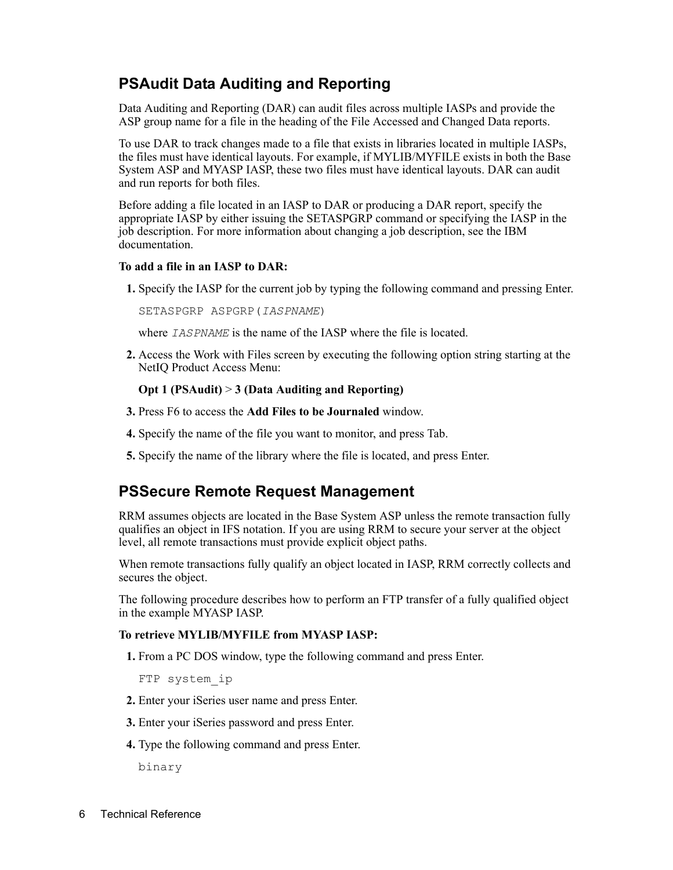### **PSAudit Data Auditing and Reporting**

Data Auditing and Reporting (DAR) can audit files across multiple IASPs and provide the ASP group name for a file in the heading of the File Accessed and Changed Data reports.

To use DAR to track changes made to a file that exists in libraries located in multiple IASPs, the files must have identical layouts. For example, if MYLIB/MYFILE exists in both the Base System ASP and MYASP IASP, these two files must have identical layouts. DAR can audit and run reports for both files.

Before adding a file located in an IASP to DAR or producing a DAR report, specify the appropriate IASP by either issuing the SETASPGRP command or specifying the IASP in the job description. For more information about changing a job description, see the IBM documentation.

#### **To add a file in an IASP to DAR:**

**1.** Specify the IASP for the current job by typing the following command and pressing Enter.

SETASPGRP ASPGRP(*IASPNAME*)

where *IASPNAME* is the name of the IASP where the file is located.

**2.** Access the Work with Files screen by executing the following option string starting at the NetIQ Product Access Menu:

#### **Opt 1 (PSAudit)** > **3 (Data Auditing and Reporting)**

- **3.** Press F6 to access the **Add Files to be Journaled** window.
- **4.** Specify the name of the file you want to monitor, and press Tab.
- **5.** Specify the name of the library where the file is located, and press Enter.

### **PSSecure Remote Request Management**

RRM assumes objects are located in the Base System ASP unless the remote transaction fully qualifies an object in IFS notation. If you are using RRM to secure your server at the object level, all remote transactions must provide explicit object paths.

When remote transactions fully qualify an object located in IASP, RRM correctly collects and secures the object.

The following procedure describes how to perform an FTP transfer of a fully qualified object in the example MYASP IASP.

#### **To retrieve MYLIB/MYFILE from MYASP IASP:**

**1.** From a PC DOS window, type the following command and press Enter.

FTP system\_ip

- **2.** Enter your iSeries user name and press Enter.
- **3.** Enter your iSeries password and press Enter.
- **4.** Type the following command and press Enter.

binary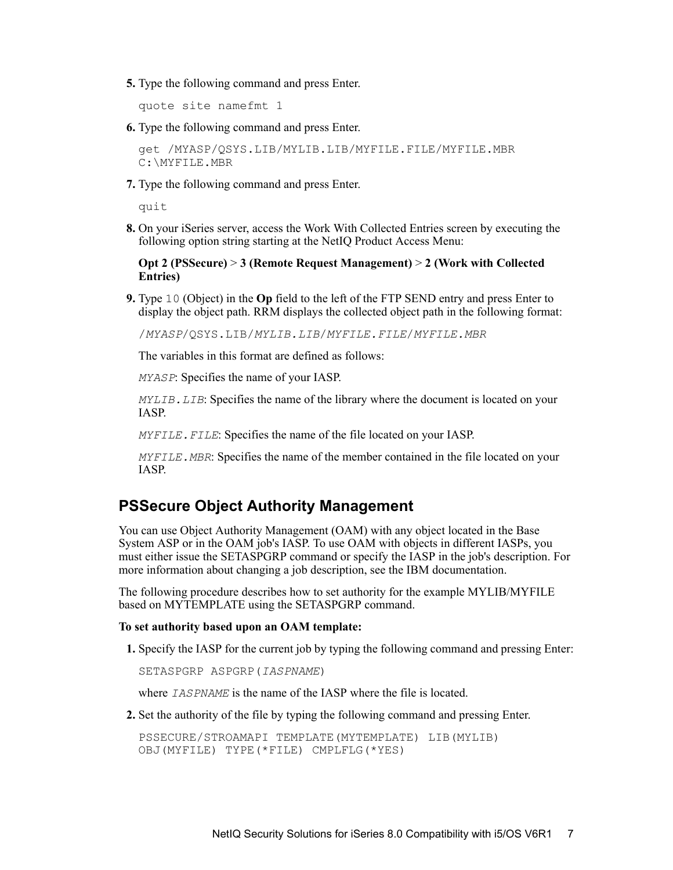**5.** Type the following command and press Enter.

quote site namefmt 1

**6.** Type the following command and press Enter.

get /MYASP/QSYS.LIB/MYLIB.LIB/MYFILE.FILE/MYFILE.MBR C:\MYFILE.MBR

**7.** Type the following command and press Enter.

quit

**8.** On your iSeries server, access the Work With Collected Entries screen by executing the following option string starting at the NetIQ Product Access Menu:

**Opt 2 (PSSecure)** > **3 (Remote Request Management)** > **2 (Work with Collected Entries)**

**9.** Type 10 (Object) in the **Op** field to the left of the FTP SEND entry and press Enter to display the object path. RRM displays the collected object path in the following format:

/*MYASP*/QSYS.LIB/*MYLIB.LIB*/*MYFILE.FILE*/*MYFILE.MBR*

The variables in this format are defined as follows:

*MYASP*: Specifies the name of your IASP.

*MYLIB.LIB*: Specifies the name of the library where the document is located on your IASP.

*MYFILE*. *FILE*: Specifies the name of the file located on your IASP.

*MYFILE.MBR*: Specifies the name of the member contained in the file located on your IASP.

### **PSSecure Object Authority Management**

You can use Object Authority Management (OAM) with any object located in the Base System ASP or in the OAM job's IASP. To use OAM with objects in different IASPs, you must either issue the SETASPGRP command or specify the IASP in the job's description. For more information about changing a job description, see the IBM documentation.

The following procedure describes how to set authority for the example MYLIB/MYFILE based on MYTEMPLATE using the SETASPGRP command.

#### **To set authority based upon an OAM template:**

**1.** Specify the IASP for the current job by typing the following command and pressing Enter:

SETASPGRP ASPGRP(*IASPNAME*)

where *IASPNAME* is the name of the IASP where the file is located.

**2.** Set the authority of the file by typing the following command and pressing Enter.

```
PSSECURE/STROAMAPI TEMPLATE(MYTEMPLATE) LIB(MYLIB) 
OBJ(MYFILE) TYPE(*FILE) CMPLFLG(*YES)
```